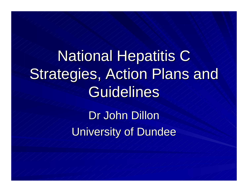National Hepatitis C Strategies, Action Plans and Guidelines

> Dr John Dillon University of Dundee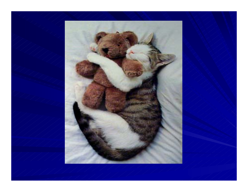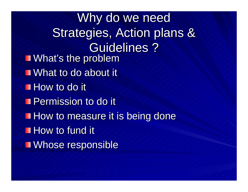Why do we need Strategies, Action plans & Guidelines ?  $\blacksquare$  What's the problem **What to do about it How to do it Permission to do it How to measure it is being done**  $H$  How to fund it Whose responsible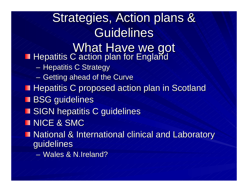Strategies, Action plans & Guidelines What Have we got What Have we got –– Hepatitis C Strategy **However, Marketing**  $-$  Getting ahead of the Curve Hepatitis C proposed action plan in Scotland BS G guidelines guidelines  $\blacksquare$  SIGN hepatitis C guidelines NICE & SMC **National & International clinical and Laboratory** guidelines  $-$  Wales & N.Ireland?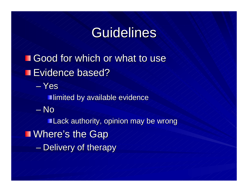#### Guidelines

**Good for which or what to use** Evidence based? – Yes **Ilimited by available evidence** – No Lack authority, opinion may be wrong **Nichtakers** the Gap – $-$  Delivery of therapy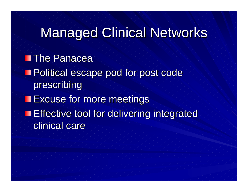### **Managed Clinical Networks**

#### The Panacea

Political escape pod for post code prescribing **Excuse for more meetings Effective tool for delivering integrated** clinical care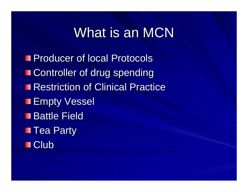### What is an MCN

Producer of local Protocols **I** Controller of drug spending **Restriction of Clinical Practice Empty Vessel** Battle Field **Tea Party TClub**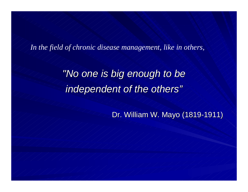*In the field of chronic disease management, like in others,*

*"No one is big enough to be "No one is big enough to be independent of the others" independent of the others"*

Dr. William W. Mayo (1819-1911)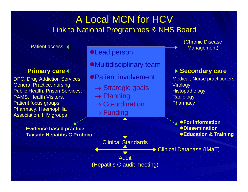#### A Local MCN for HCV Link to National Programmes & NHS Board

Patient access

#### **Primary care**

DPC, Drug Addiction Services, General Practice, nursing, Public Health, Prison Services, PAMS, Health Visitors, Patient focus groups, Pharmacy, Haemophilia Association, HIV groups

**•Lead person** 

- **•Multidisciplinary team**
- Patient involvement
	- $\rightarrow$  Strategic goals
	- $\rightarrow$  Planning
	- $\rightarrow$  Co-ordination
	- $\rightarrow$  Funding

(Chronic Disease Management)

#### **Secondary c are**

Medical, Nurse practitioners **Virology Histopathology** R adiology **Pharmacy** 

> z**For information** z**Dissemination• Education & Training**

**Evidence based practice Tayside Hepatitis C Protocol**

Clinical Standards

Clinical Database (IMaT)

Audit (Hepatitis C audit meeting)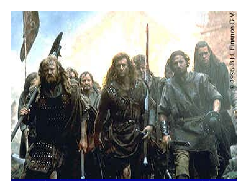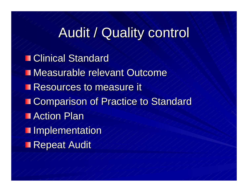### Audit / Quality control

**Clinical Standard Measurable relevant Outcome** Resources to measure it **T** Comparison of Practice to Standard Action Plan **Implementation Repeat Audit**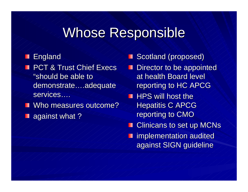### Whose Responsible

#### **England**

**PCT & Trust Chief Execs** "should be able to demonstrate….adequate services.... Who measures outcome? against what?

**Scotland (proposed)** 

Director to be appointed at health Board level reporting to HC APCG

 $H$  HPS will host the Hepatitis C APCG reporting to CMO

Clinicans to set up MCNs

implementation audited T against SIGN guideline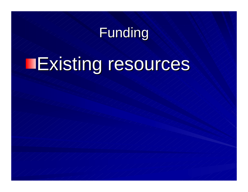### Funding

# **IExisting resources**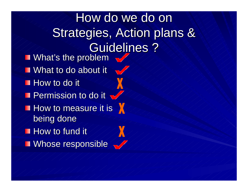How do we do on Strategies, Action plans & Guidelines ?  $\blacksquare$  What's the problem  $\blacksquare$  What to do about it  $How$  to do it **Permission to do it.**  $\blacksquare$  How to measure it is  $\bigvee$ being done  $\blacksquare$  How to fund it **Whose responsible**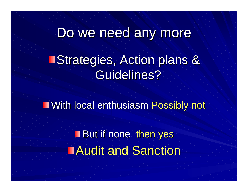## Do we need any more **Instrategies, Action plans &** Guidelines?

**With local enthusiasm Possibly not** 

But if none then yes **TAudit and Sanction**